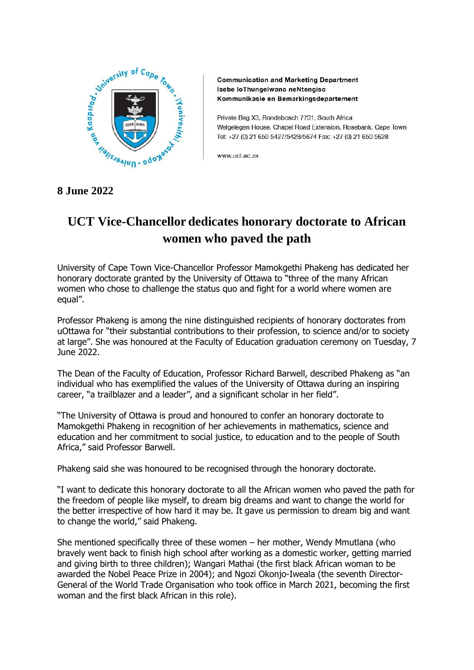

**Communication and Marketing Department** Isebe loThungelwano neNtengiso Kommunikasie en Bemarkingsdepartement

Private Bag X3, Rondebosch 7701, South Africa Welgelegen House, Chapel Road Extension, Rosebank, Cape Town Tel: +27 (0) 21 650 5427/5428/5674 Fax: +27 (0) 21 650 5628

www.uct.ac.za

## **8 June 2022**

## **UCT Vice-Chancellor dedicates honorary doctorate to African women who paved the path**

University of Cape Town Vice-Chancellor Professor Mamokgethi Phakeng has dedicated her honorary doctorate granted by the University of Ottawa to "three of the many African women who chose to challenge the status quo and fight for a world where women are equal".

Professor Phakeng is among the nine distinguished recipients of honorary doctorates from uOttawa for "their substantial contributions to their profession, to science and/or to society at large". She was honoured at the Faculty of Education graduation ceremony on Tuesday, 7 June 2022.

The Dean of the Faculty of Education, Professor Richard Barwell, described Phakeng as "an individual who has exemplified the values of the University of Ottawa during an inspiring career, "a trailblazer and a leader", and a significant scholar in her field".

"The University of Ottawa is proud and honoured to confer an honorary doctorate to Mamokgethi Phakeng in recognition of her achievements in mathematics, science and education and her commitment to social justice, to education and to the people of South Africa," said Professor Barwell.

Phakeng said she was honoured to be recognised through the honorary doctorate.

"I want to dedicate this honorary doctorate to all the African women who paved the path for the freedom of people like myself, to dream big dreams and want to change the world for the better irrespective of how hard it may be. It gave us permission to dream big and want to change the world," said Phakeng.

She mentioned specifically three of these women – her mother, Wendy Mmutlana (who bravely went back to finish high school after working as a domestic worker, getting married and giving birth to three children); Wangari Mathai (the first black African woman to be awarded the Nobel Peace Prize in 2004); and Ngozi Okonjo-Iweala (the seventh Director-General of the World Trade Organisation who took office in March 2021, becoming the first woman and the first black African in this role).